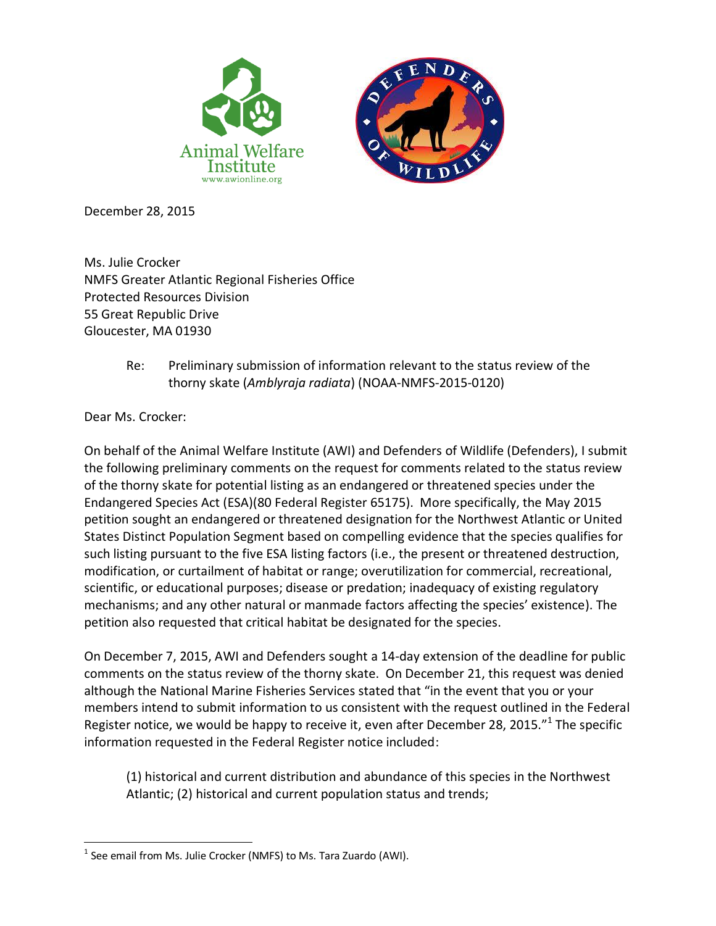

December 28, 2015

Ms. Julie Crocker NMFS Greater Atlantic Regional Fisheries Office Protected Resources Division 55 Great Republic Drive Gloucester, MA 01930

> Re: Preliminary submission of information relevant to the status review of the thorny skate (*Amblyraja radiata*) (NOAA-NMFS-2015-0120)

Dear Ms. Crocker:

On behalf of the Animal Welfare Institute (AWI) and Defenders of Wildlife (Defenders), I submit the following preliminary comments on the request for comments related to the status review of the thorny skate for potential listing as an endangered or threatened species under the Endangered Species Act (ESA)(80 Federal Register 65175). More specifically, the May 2015 petition sought an endangered or threatened designation for the Northwest Atlantic or United States Distinct Population Segment based on compelling evidence that the species qualifies for such listing pursuant to the five ESA listing factors (i.e., the present or threatened destruction, modification, or curtailment of habitat or range; overutilization for commercial, recreational, scientific, or educational purposes; disease or predation; inadequacy of existing regulatory mechanisms; and any other natural or manmade factors affecting the species' existence). The petition also requested that critical habitat be designated for the species.

On December 7, 2015, AWI and Defenders sought a 14-day extension of the deadline for public comments on the status review of the thorny skate. On December 21, this request was denied although the National Marine Fisheries Services stated that "in the event that you or your members intend to submit information to us consistent with the request outlined in the Federal Register notice, we would be happy to receive it, even after December 28, 2015."<sup>1</sup> The specific information requested in the Federal Register notice included:

(1) historical and current distribution and abundance of this species in the Northwest Atlantic; (2) historical and current population status and trends;

 $\overline{a}$  $<sup>1</sup>$  See email from Ms. Julie Crocker (NMFS) to Ms. Tara Zuardo (AWI).</sup>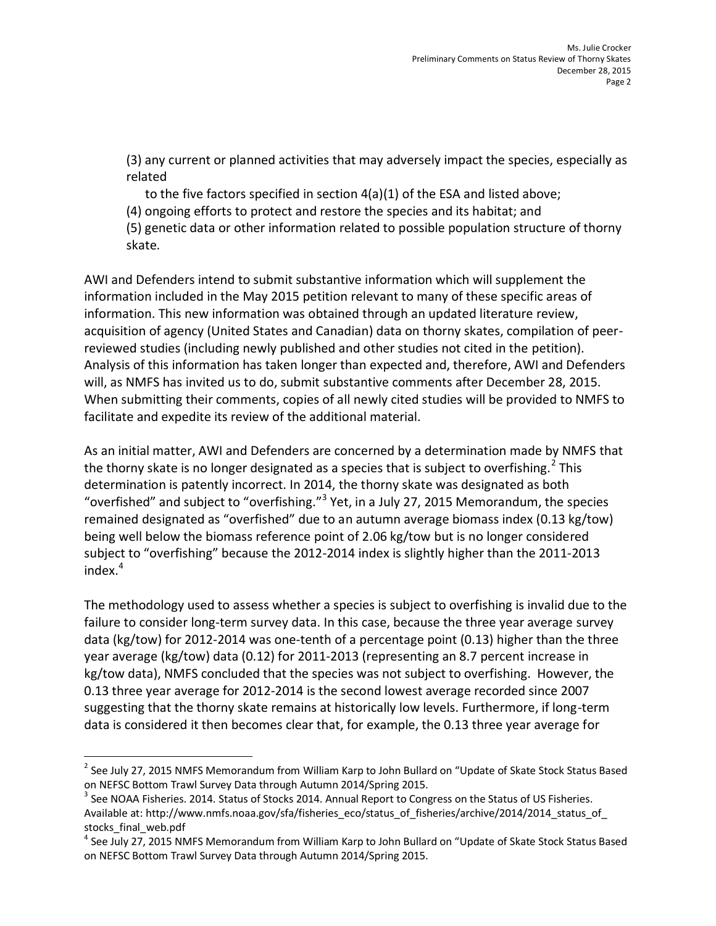(3) any current or planned activities that may adversely impact the species, especially as related

to the five factors specified in section 4(a)(1) of the ESA and listed above;

(4) ongoing efforts to protect and restore the species and its habitat; and

(5) genetic data or other information related to possible population structure of thorny skate.

AWI and Defenders intend to submit substantive information which will supplement the information included in the May 2015 petition relevant to many of these specific areas of information. This new information was obtained through an updated literature review, acquisition of agency (United States and Canadian) data on thorny skates, compilation of peerreviewed studies (including newly published and other studies not cited in the petition). Analysis of this information has taken longer than expected and, therefore, AWI and Defenders will, as NMFS has invited us to do, submit substantive comments after December 28, 2015. When submitting their comments, copies of all newly cited studies will be provided to NMFS to facilitate and expedite its review of the additional material.

As an initial matter, AWI and Defenders are concerned by a determination made by NMFS that the thorny skate is no longer designated as a species that is subject to overfishing.<sup>2</sup> This determination is patently incorrect. In 2014, the thorny skate was designated as both "overfished" and subject to "overfishing."<sup>3</sup> Yet, in a July 27, 2015 Memorandum, the species remained designated as "overfished" due to an autumn average biomass index (0.13 kg/tow) being well below the biomass reference point of 2.06 kg/tow but is no longer considered subject to "overfishing" because the 2012-2014 index is slightly higher than the 2011-2013 index. 4

The methodology used to assess whether a species is subject to overfishing is invalid due to the failure to consider long-term survey data. In this case, because the three year average survey data (kg/tow) for 2012-2014 was one-tenth of a percentage point (0.13) higher than the three year average (kg/tow) data (0.12) for 2011-2013 (representing an 8.7 percent increase in kg/tow data), NMFS concluded that the species was not subject to overfishing. However, the 0.13 three year average for 2012-2014 is the second lowest average recorded since 2007 suggesting that the thorny skate remains at historically low levels. Furthermore, if long-term data is considered it then becomes clear that, for example, the 0.13 three year average for

 $\overline{\phantom{a}}$ 

 $^{2}$  See July 27, 2015 NMFS Memorandum from William Karp to John Bullard on "Update of Skate Stock Status Based on NEFSC Bottom Trawl Survey Data through Autumn 2014/Spring 2015.

 $^3$  See NOAA Fisheries. 2014. Status of Stocks 2014. Annual Report to Congress on the Status of US Fisheries. Available at: http://www.nmfs.noaa.gov/sfa/fisheries\_eco/status\_of\_fisheries/archive/2014/2014\_status\_of stocks\_final\_web.pdf

<sup>&</sup>lt;sup>4</sup> See July 27, 2015 NMFS Memorandum from William Karp to John Bullard on "Update of Skate Stock Status Based on NEFSC Bottom Trawl Survey Data through Autumn 2014/Spring 2015.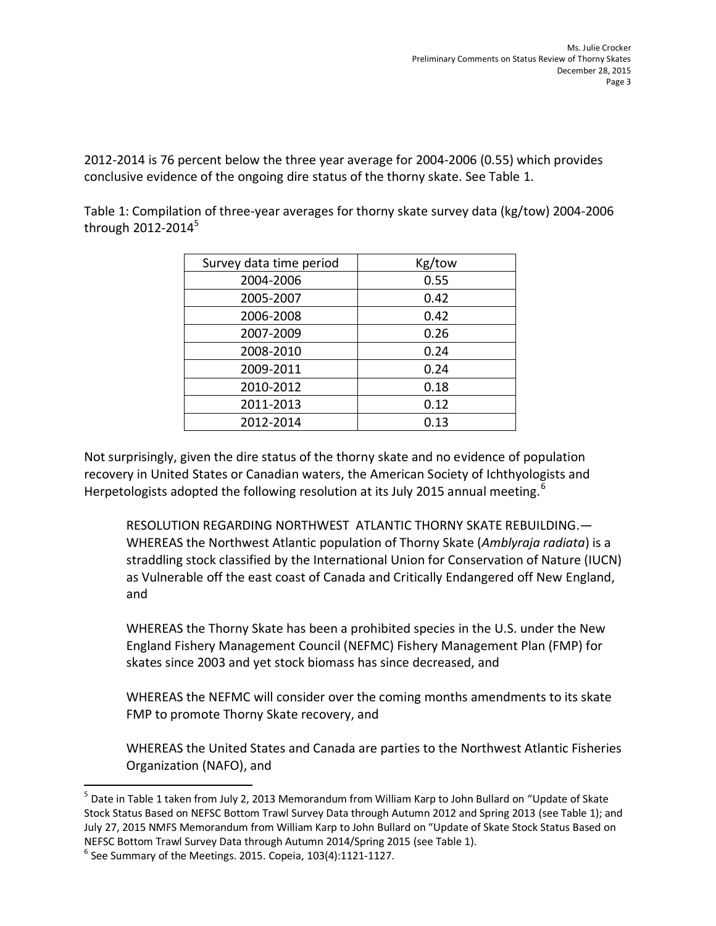2012-2014 is 76 percent below the three year average for 2004-2006 (0.55) which provides conclusive evidence of the ongoing dire status of the thorny skate. See Table 1.

Table 1: Compilation of three-year averages for thorny skate survey data (kg/tow) 2004-2006 through  $2012 - 2014<sup>5</sup>$ 

| Survey data time period | Kg/tow |
|-------------------------|--------|
| 2004-2006               | 0.55   |
| 2005-2007               | 0.42   |
| 2006-2008               | 0.42   |
| 2007-2009               | 0.26   |
| 2008-2010               | 0.24   |
| 2009-2011               | 0.24   |
| 2010-2012               | 0.18   |
| 2011-2013               | 0.12   |
| 2012-2014               | 0.13   |

Not surprisingly, given the dire status of the thorny skate and no evidence of population recovery in United States or Canadian waters, the American Society of Ichthyologists and Herpetologists adopted the following resolution at its July 2015 annual meeting.<sup>6</sup>

RESOLUTION REGARDING NORTHWEST ATLANTIC THORNY SKATE REBUILDING.— WHEREAS the Northwest Atlantic population of Thorny Skate (*Amblyraja radiata*) is a straddling stock classified by the International Union for Conservation of Nature (IUCN) as Vulnerable off the east coast of Canada and Critically Endangered off New England, and

WHEREAS the Thorny Skate has been a prohibited species in the U.S. under the New England Fishery Management Council (NEFMC) Fishery Management Plan (FMP) for skates since 2003 and yet stock biomass has since decreased, and

WHEREAS the NEFMC will consider over the coming months amendments to its skate FMP to promote Thorny Skate recovery, and

WHEREAS the United States and Canada are parties to the Northwest Atlantic Fisheries Organization (NAFO), and

 $\overline{a}$ 

<sup>&</sup>lt;sup>5</sup> Date in Table 1 taken from July 2, 2013 Memorandum from William Karp to John Bullard on "Update of Skate Stock Status Based on NEFSC Bottom Trawl Survey Data through Autumn 2012 and Spring 2013 (see Table 1); and July 27, 2015 NMFS Memorandum from William Karp to John Bullard on "Update of Skate Stock Status Based on NEFSC Bottom Trawl Survey Data through Autumn 2014/Spring 2015 (see Table 1).

 $^6$  See Summary of the Meetings. 2015. Copeia, 103(4):1121-1127.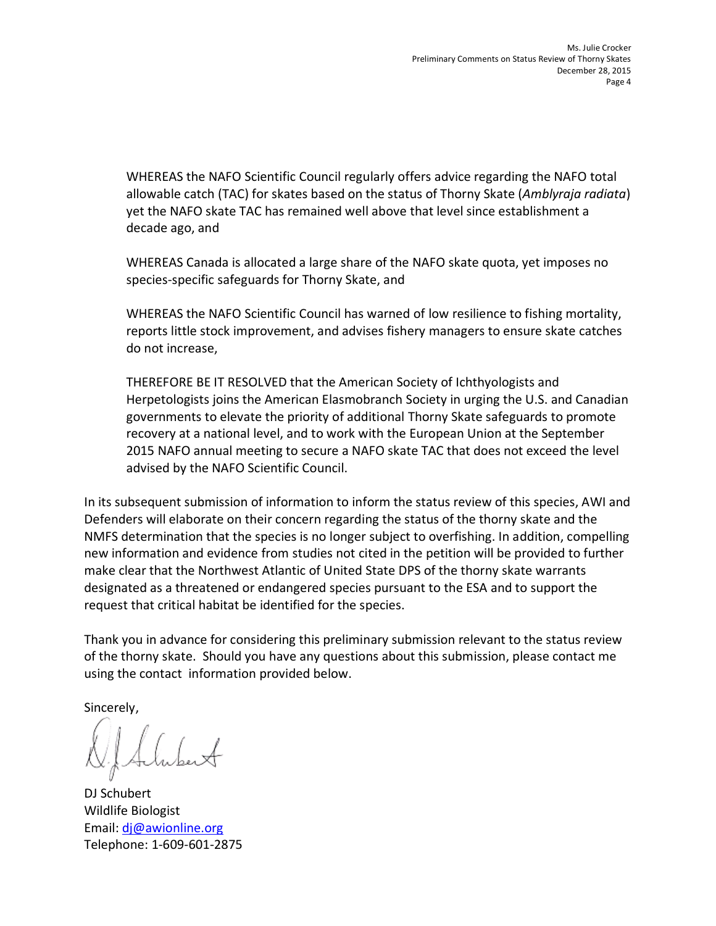WHEREAS the NAFO Scientific Council regularly offers advice regarding the NAFO total allowable catch (TAC) for skates based on the status of Thorny Skate (*Amblyraja radiata*) yet the NAFO skate TAC has remained well above that level since establishment a decade ago, and

WHEREAS Canada is allocated a large share of the NAFO skate quota, yet imposes no species-specific safeguards for Thorny Skate, and

WHEREAS the NAFO Scientific Council has warned of low resilience to fishing mortality, reports little stock improvement, and advises fishery managers to ensure skate catches do not increase,

THEREFORE BE IT RESOLVED that the American Society of Ichthyologists and Herpetologists joins the American Elasmobranch Society in urging the U.S. and Canadian governments to elevate the priority of additional Thorny Skate safeguards to promote recovery at a national level, and to work with the European Union at the September 2015 NAFO annual meeting to secure a NAFO skate TAC that does not exceed the level advised by the NAFO Scientific Council.

In its subsequent submission of information to inform the status review of this species, AWI and Defenders will elaborate on their concern regarding the status of the thorny skate and the NMFS determination that the species is no longer subject to overfishing. In addition, compelling new information and evidence from studies not cited in the petition will be provided to further make clear that the Northwest Atlantic of United State DPS of the thorny skate warrants designated as a threatened or endangered species pursuant to the ESA and to support the request that critical habitat be identified for the species.

Thank you in advance for considering this preliminary submission relevant to the status review of the thorny skate. Should you have any questions about this submission, please contact me using the contact information provided below.

Sincerely,

DJ Schubert Wildlife Biologist Email: [dj@awionline.org](mailto:dj@awionline.org) Telephone: 1-609-601-2875